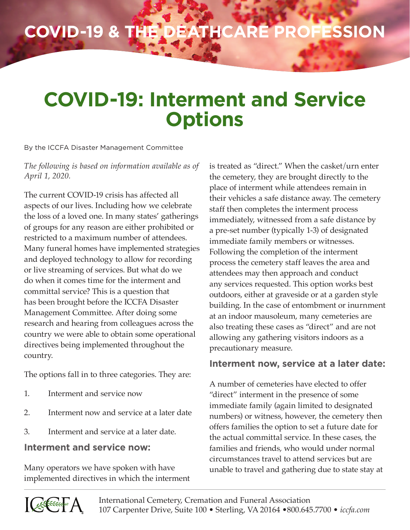# **COVID-19 & the Deathcare Profession**

## **COVID-19: Interment and Service Options**

By the ICCFA Disaster Management Committee

#### *The following is based on information available as of April 1, 2020.*

The current COVID-19 crisis has affected all aspects of our lives. Including how we celebrate the loss of a loved one. In many states' gatherings of groups for any reason are either prohibited or restricted to a maximum number of attendees. Many funeral homes have implemented strategies and deployed technology to allow for recording or live streaming of services. But what do we do when it comes time for the interment and committal service? This is a question that has been brought before the ICCFA Disaster Management Committee. After doing some research and hearing from colleagues across the country we were able to obtain some operational directives being implemented throughout the country.

The options fall in to three categories. They are:

- 1. Interment and service now
- 2. Interment now and service at a later date
- 3. Interment and service at a later date.

#### **Interment and service now:**

Many operators we have spoken with have implemented directives in which the interment is treated as "direct." When the casket/urn enter the cemetery, they are brought directly to the place of interment while attendees remain in their vehicles a safe distance away. The cemetery staff then completes the interment process immediately, witnessed from a safe distance by a pre-set number (typically 1-3) of designated immediate family members or witnesses. Following the completion of the interment process the cemetery staff leaves the area and attendees may then approach and conduct any services requested. This option works best outdoors, either at graveside or at a garden style building. In the case of entombment or inurnment at an indoor mausoleum, many cemeteries are also treating these cases as "direct" and are not allowing any gathering visitors indoors as a precautionary measure.

### **Interment now, service at a later date:**

A number of cemeteries have elected to offer "direct" interment in the presence of some immediate family (again limited to designated numbers) or witness, however, the cemetery then offers families the option to set a future date for the actual committal service. In these cases, the families and friends, who would under normal circumstances travel to attend services but are unable to travel and gathering due to state stay at